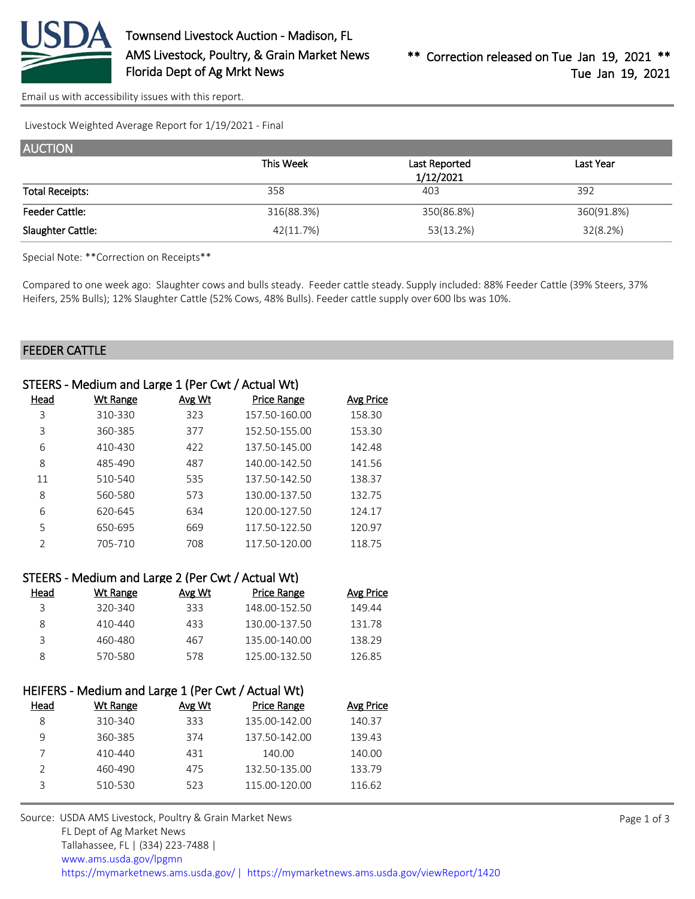

[Email us with accessibility issues with this report.](mailto:mars@ams.usda.gov?subject=508%20issue)

Livestock Weighted Average Report for 1/19/2021 - Final

| <b>AUCTION</b>         |            |                            |            |
|------------------------|------------|----------------------------|------------|
|                        | This Week  | Last Reported<br>1/12/2021 | Last Year  |
| <b>Total Receipts:</b> | 358        | 403                        | 392        |
| Feeder Cattle:         | 316(88.3%) | 350(86.8%)                 | 360(91.8%) |
| Slaughter Cattle:      | 42(11.7%)  | 53(13.2%)                  | 32(8.2%)   |

Special Note: \*\*Correction on Receipts\*\*

Compared to one week ago: Slaughter cows and bulls steady. Feeder cattle steady. Supply included: 88% Feeder Cattle (39% Steers, 37% Heifers, 25% Bulls); 12% Slaughter Cattle (52% Cows, 48% Bulls). Feeder cattle supply over 600 lbs was 10%.

### FEEDER CATTLE

|  |  | STEERS - Medium and Large 1 (Per Cwt / Actual Wt) |  |  |
|--|--|---------------------------------------------------|--|--|
|--|--|---------------------------------------------------|--|--|

| Head          | Wt Range | Avg Wt | Price Range   | Avg Price |
|---------------|----------|--------|---------------|-----------|
| 3             | 310-330  | 323    | 157.50-160.00 | 158.30    |
| 3             | 360-385  | 377    | 152.50-155.00 | 153.30    |
| 6             | 410-430  | 422    | 137.50-145.00 | 142.48    |
| 8             | 485-490  | 487    | 140.00-142.50 | 141.56    |
| 11            | 510-540  | 535    | 137.50-142.50 | 138.37    |
| 8             | 560-580  | 573    | 130.00-137.50 | 132.75    |
| 6             | 620-645  | 634    | 120.00-127.50 | 124.17    |
| 5             | 650-695  | 669    | 117.50-122.50 | 120.97    |
| $\mathcal{P}$ | 705-710  | 708    | 117.50-120.00 | 118.75    |

|      | STEERS - Medium and Large 2 (Per Cwt / Actual Wt) |        |               |                  |
|------|---------------------------------------------------|--------|---------------|------------------|
| Head | Wt Range                                          | Avg Wt | Price Range   | <b>Avg Price</b> |
| २    | 320-340                                           | 333    | 148.00-152.50 | 149.44           |
| 8    | 410-440                                           | 433    | 130.00-137.50 | 131.78           |
| ς    | 460-480                                           | 467    | 135.00-140.00 | 138.29           |
| 8    | 570-580                                           | 578    | 125.00-132.50 | 126.85           |

| HEIFERS - Medium and Large 1 (Per Cwt / Actual Wt) |          |        |                    |           |  |
|----------------------------------------------------|----------|--------|--------------------|-----------|--|
| Head                                               | Wt Range | Avg Wt | <b>Price Range</b> | Avg Price |  |
| 8                                                  | 310-340  | 333    | 135.00-142.00      | 140.37    |  |
| 9                                                  | 360-385  | 374    | 137.50-142.00      | 139.43    |  |
|                                                    | 410-440  | 431    | 140.00             | 140.00    |  |
| $\mathcal{P}$                                      | 460-490  | 475    | 132.50-135.00      | 133.79    |  |
| 3                                                  | 510-530  | 523    | 115.00-120.00      | 116.62    |  |
|                                                    |          |        |                    |           |  |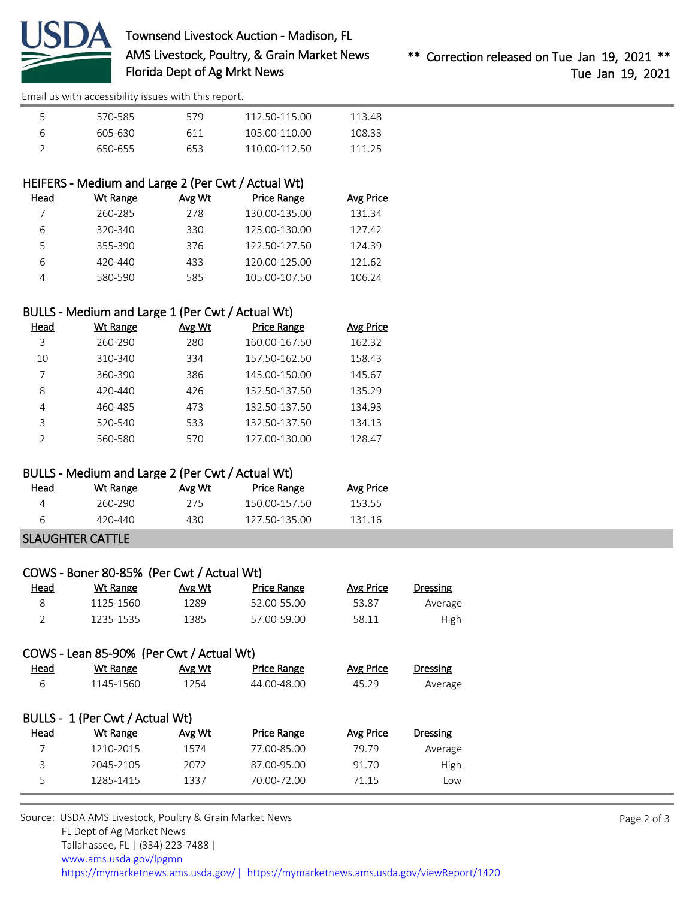

# Townsend Livestock Auction - Madison, FL AMS Livestock, Poultry, & Grain Market News Florida Dept of Ag Mrkt News

[Email us with accessibility issues with this report.](mailto:mars@ams.usda.gov?subject=508%20issue)

|   | 570-585 | 579  | 112.50-115.00 | 113 48 |
|---|---------|------|---------------|--------|
| Б | 605-630 | 611  | 105.00-110.00 | 108.33 |
|   | 650-655 | 653. | 110 00-112 50 | 111 25 |

# HEIFERS - Medium and Large 2 (Per Cwt / Actual Wt)

| Head | Wt Range | Avg Wt | Price Range   | Avg Price |
|------|----------|--------|---------------|-----------|
|      | 260-285  | 278    | 130.00-135.00 | 131.34    |
| 6    | 320-340  | 330    | 125.00-130.00 | 127.42    |
| 5    | 355-390  | 376    | 122.50-127.50 | 124.39    |
| 6    | 420-440  | 433    | 120.00-125.00 | 121.62    |
|      | 580-590  | 585    | 105.00-107.50 | 106.24    |

## BULLS - Medium and Large 1 (Per Cwt / Actual Wt)

| Head | Wt Range | Avg Wt | <b>Price Range</b> | Avg Price |
|------|----------|--------|--------------------|-----------|
| 3    | 260-290  | 280    | 160.00-167.50      | 162.32    |
| 10   | 310-340  | 334    | 157.50-162.50      | 158.43    |
| 7    | 360-390  | 386    | 145.00-150.00      | 145.67    |
| 8    | 420-440  | 426    | 132.50-137.50      | 135.29    |
| 4    | 460-485  | 473    | 132.50-137.50      | 134.93    |
| 3    | 520-540  | 533    | 132.50-137.50      | 134.13    |
| フ    | 560-580  | 570    | 127.00-130.00      | 128.47    |

### BULLS - Medium and Large 2 (Per Cwt / Actual Wt)

| <u>Head</u> | Wt Range | Avg Wt | Price Range   | <b>Avg Price</b> |
|-------------|----------|--------|---------------|------------------|
|             | 260-290  | 275    | 150.00-157.50 | 153.55           |
|             | 420-440  | 430    | 127 50-135 00 | 131 16           |

# SLAUGHTER CATTLE

|             | COWS - Boner 80-85% (Per Cwt / Actual Wt) |        |             |           |          |  |
|-------------|-------------------------------------------|--------|-------------|-----------|----------|--|
| <u>Head</u> | Wt Range                                  | Avg Wt | Price Range | Avg Price | Dressing |  |
|             | 1125-1560                                 | 1289   | 52.00-55.00 | 53.87     | Average  |  |
|             | 1235-1535                                 | 1385   | 57.00-59.00 | 58.11     | High     |  |

# COWS - Lean 85-90% (Per Cwt / Actual Wt)

| <b>Dressing</b> | Avg Price | <b>Price Range</b> | Avg Wt | Wt Range                        | Head |
|-----------------|-----------|--------------------|--------|---------------------------------|------|
| Average         | 45.29     | 44.00-48.00        | 1254   | 1145-1560                       | 6    |
|                 |           |                    |        |                                 |      |
|                 |           |                    |        | BULLS - 1 (Per Cwt / Actual Wt) |      |
| <b>Dressing</b> | Avg Price | <b>Price Range</b> | Avg Wt | Wt Range                        | Head |
| Average         | 79.79     | 77.00-85.00        | 1574   | 1210-2015                       |      |
| High            | 91.70     | 87.00-95.00        | 2072   | 2045-2105                       | 3    |
| Low             | 71.15     | 70.00-72.00        | 1337   | 1285-1415                       | 5    |